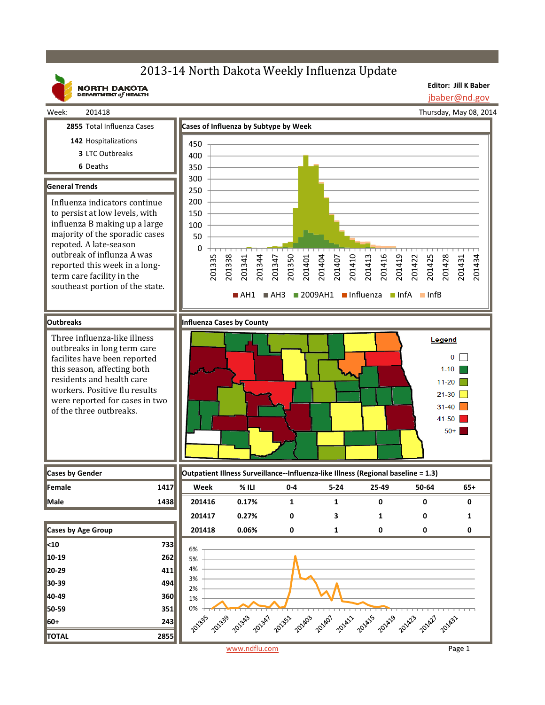## 2013-14 North Dakota Weekly Influenza Update



Week: 201418

**NORTH DAKOTA**<br>DEPARTMENT of HEALTH

**Editor: Jill K Baber** jbaber@nd.gov

Thursday, May 08, 2014